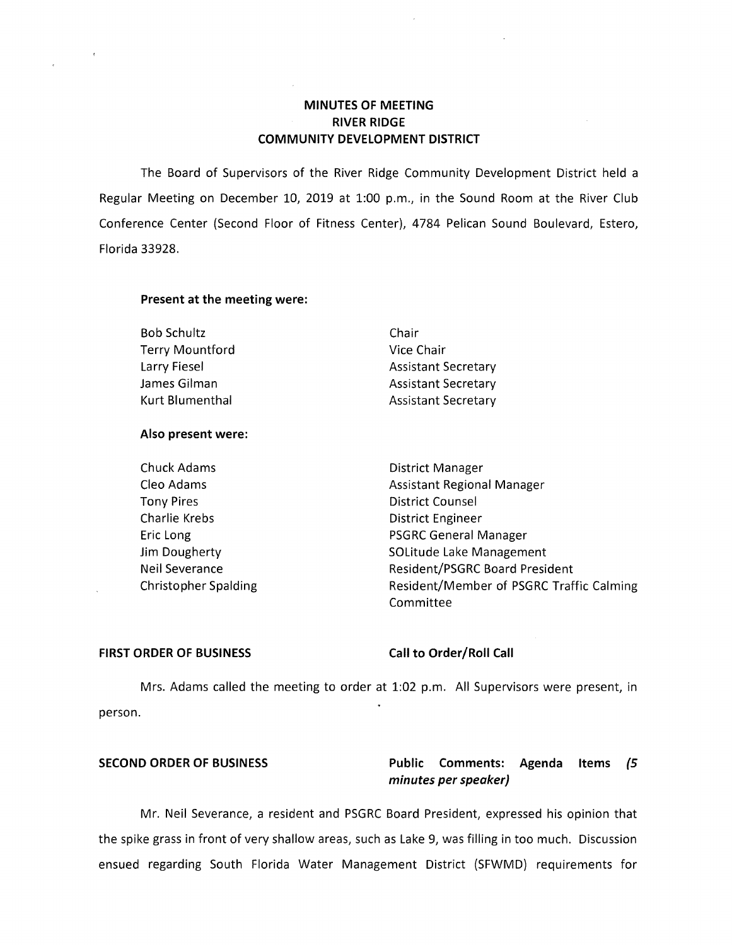# **MINUTES OF MEETING RIVER RIDGE COMMUNITY DEVELOPMENT DISTRICT**

The Board of Supervisors of the River Ridge Community Development District held a Regular Meeting on December 10, 2019 at 1:00 p.m., in the Sound Room at the River Club Conference Center (Second Floor of Fitness Center), 4784 Pelican Sound Boulevard, Estero, Florida 33928.

### **Present at the meeting were:**

| Bob Schultz            | Chair                      |
|------------------------|----------------------------|
| <b>Terry Mountford</b> | Vice Chair                 |
| Larry Fiesel           | <b>Assistant Secretary</b> |
| James Gilman           | <b>Assistant Secretary</b> |
| Kurt Blumenthal        | <b>Assistant Secretary</b> |

### **Also present were:**

Tony Pires **District Counsel** Charlie Krebs **District Engineer** 

Chuck Adams **District Manager** Cleo Adams **Assistant Regional Manager** Assistant Regional Manager Eric Long **PSGRC General Manager** Jim Dougherty **SOLitude Lake Management** Neil Severance **Resident/PSGRC Board President** Christopher Spalding The Resident/Member of PSGRC Traffic Calming Committee

### **FIRST ORDER OF BUSINESS Call to Order/Roll Call**

Mrs. Adams called the meeting to order at 1:02 p.m. All Supervisors were present, in person.

# **SECOND ORDER OF BUSINESS Public Comments: Agenda Items (5 minutes per speaker)**

Mr. Neil Severance, a resident and PSGRC Board President, expressed his opinion that the spike grass in front of very shallow areas, such as Lake 9, was filling in too much. Discussion ensued regarding South Florida Water Management District (SFWMD) requirements for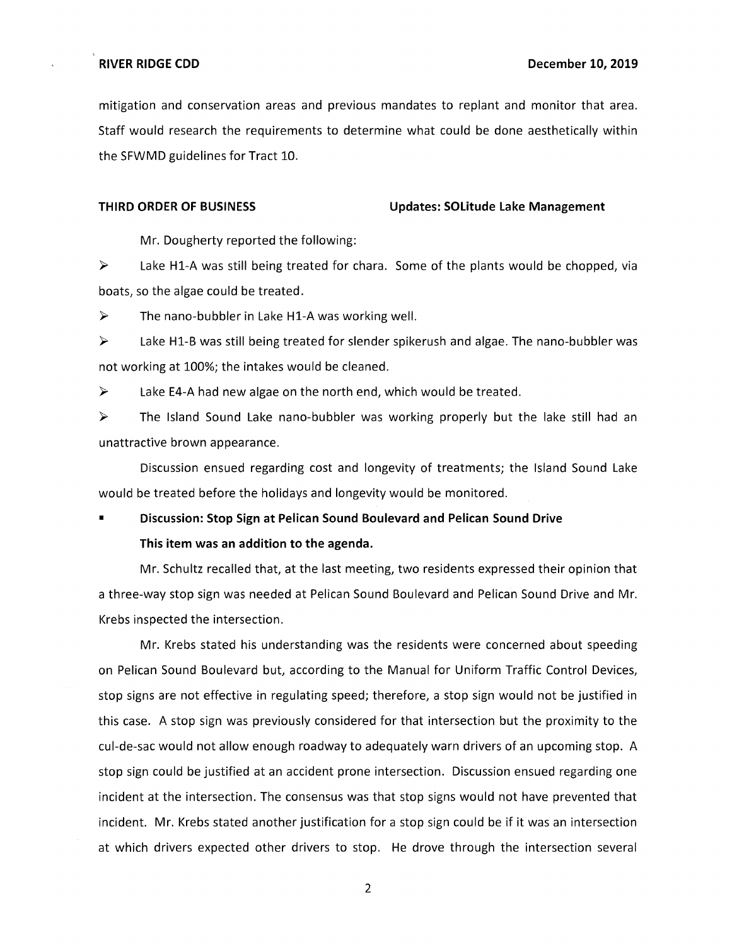mitigation and conservation areas and previous mandates to replant and monitor that area. Staff would research the requirements to determine what could be done aesthetically within the SFWMD guidelines for Tract 10.

### **THIRD ORDER OF BUSINESS Updates: SOLitude Lake Management**

Mr. Dougherty reported the following:

 $\triangleright$  Lake H1-A was still being treated for chara. Some of the plants would be chopped, via boats, so the algae could be treated.

 $\triangleright$  The nano-bubbler in Lake H1-A was working well.

► Lake Hl-B was still being treated for slender spikerush and algae. The nano-bubbler was not working at 100%; the intakes would be cleaned.

 $\triangleright$  Lake E4-A had new algae on the north end, which would be treated.

► The Island Sound Lake nano-bubbler was working properly but the lake still had an unattractive brown appearance.

Discussion ensued regarding cost and longevity of treatments; the Island Sound Lake would be treated before the holidays and longevity would be monitored.

# **Discussion: Stop Sign at Pelican Sound Boulevard and Pelican Sound Drive This item was an addition to the agenda.**

Mr. Schultz recalled that, at the last meeting, two residents expressed their opinion that a three-way stop sign was needed at Pelican Sound Boulevard and Pelican Sound Drive and Mr. Krebs inspected the intersection.

Mr. Krebs stated his understanding was the residents were concerned about speeding on Pelican Sound Boulevard but, according to the Manual for Uniform Traffic Control Devices, stop signs are not effective in regulating speed; therefore, a stop sign would not be justified in this case. A stop sign was previously considered for that intersection but the proximity to the cul-de-sac would not allow enough roadway to adequately warn drivers of an upcoming stop. A stop sign could be justified at an accident prone intersection. Discussion ensued regarding one incident at the intersection. The consensus was that stop signs would not have prevented that incident. Mr. Krebs stated another justification for a stop sign could be if it was an intersection at which drivers expected other drivers to stop. He drove through the intersection several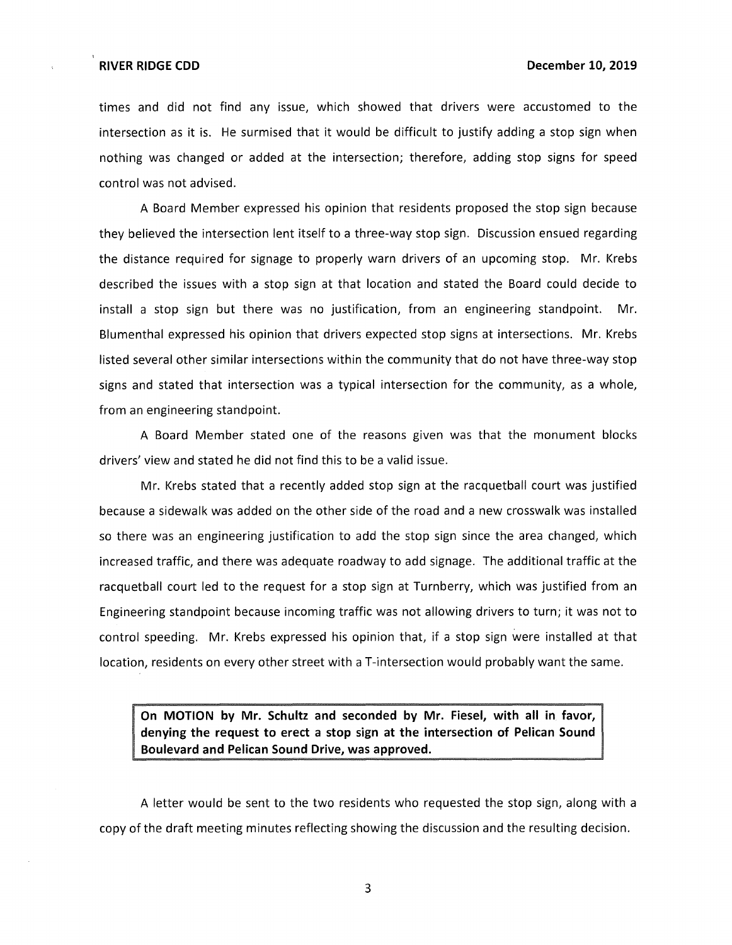times and did not find any issue, which showed that drivers were accustomed to the intersection as it is. He surmised that it would be difficult to justify adding a stop sign when nothing was changed or added at the intersection; therefore, adding stop signs for speed control was not advised.

A Board Member expressed his opinion that residents proposed the stop sign because they believed the intersection lent itself to a three-way stop sign. Discussion ensued regarding the distance required for signage to properly warn drivers of an upcoming stop. Mr. Krebs described the issues with a stop sign at that location and stated the Board could decide to install a stop sign but there was no justification, from an engineering standpoint. Mr. Blumenthal expressed his opinion that drivers expected stop signs at intersections. Mr. Krebs listed several other similar intersections within the community that do not have three-way stop signs and stated that intersection was a typical intersection for the community, as a whole, from an engineering standpoint.

A Board Member stated one of the reasons given was that the monument blocks drivers' view and stated he did not find this to be a valid issue.

Mr. Krebs stated that a recently added stop sign at the racquetball court was justified because a sidewalk was added on the other side of the road and a new crosswalk was installed so there was an engineering justification to add the stop sign since the area changed, which increased traffic, and there was adequate roadway to add signage. The additional traffic at the racquetball court led to the request for a stop sign at Turnberry, which was justified from an Engineering standpoint because incoming traffic was not allowing drivers to turn; it was not to control speeding. Mr. Krebs expressed his opinion that, if a stop sign were installed at that location, residents on every other street with a T-intersection would probably want the same.

**On MOTION by Mr. Schultz and seconded by Mr. Fiesel, with all in favor, denying the request to erect a stop sign at the intersection of Pelican Sound Boulevard and Pelican Sound Drive, was approved.** 

A letter would be sent to the two residents who requested the stop sign, along with a copy of the draft meeting minutes reflecting showing the discussion and the resulting decision.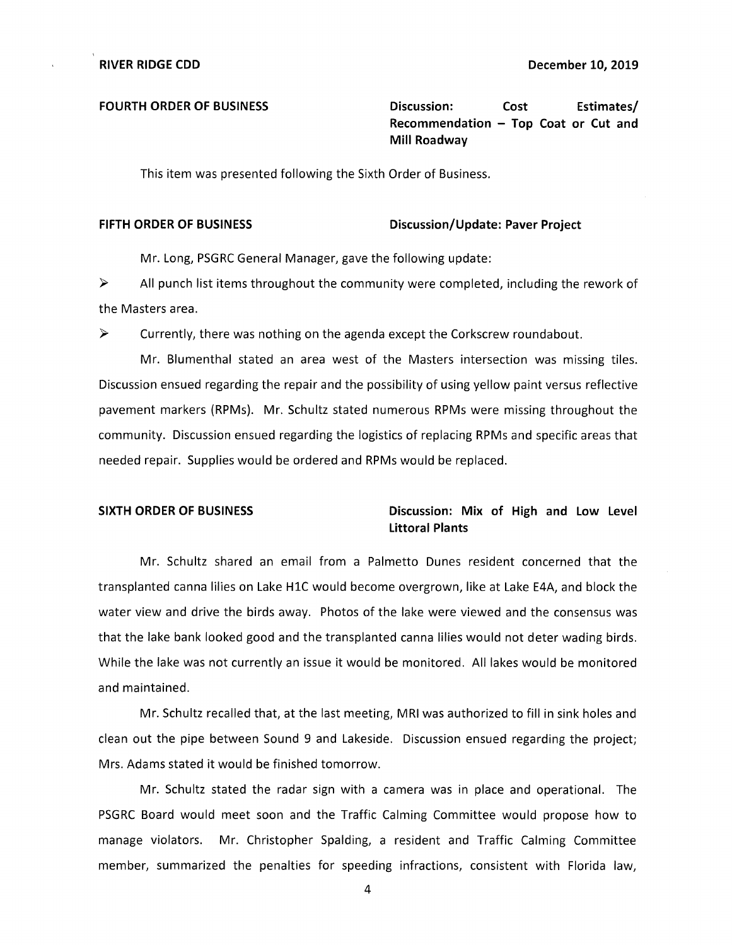FOURTH ORDER OF BUSINESS **Discussion:** Cost Estimates/ **Recommendation - Top Coat or Cut and Mill Roadway** 

This item was presented following the Sixth Order of Business.

### FIFTH ORDER OF BUSINESS Discussion/Update: Paver Project

Mr. Long, PSGRC General Manager, gave the following update:

 $\triangleright$  All punch list items throughout the community were completed, including the rework of the Masters area.

► Currently, there was nothing on the agenda except the Corkscrew roundabout.

Mr. Blumenthal stated an area west of the Masters intersection was missing tiles. Discussion ensued regarding the repair and the possibility of using yellow paint versus reflective pavement markers (RPMs). Mr. Schultz stated numerous RPMs were missing throughout the community. Discussion ensued regarding the logistics of replacing RPMs and specific areas that needed repair. Supplies would be ordered and RPMs would be replaced.

### **SIXTH ORDER OF BUSINESS Discussion: Mix of High and Low Level Littoral Plants**

Mr. Schultz shared an email from a Palmetto Dunes resident concerned that the transplanted canna lilies on Lake HlC would become overgrown, like at Lake E4A, and block the water view and drive the birds away. Photos of the lake were viewed and the consensus was that the lake bank looked good and the transplanted canna lilies would not deter wading birds. While the lake was not currently an issue it would be monitored. All lakes would be monitored and maintained.

Mr. Schultz recalled that, at the last meeting, MRI was authorized to fill in sink holes and clean out the pipe between Sound 9 and Lakeside. Discussion ensued regarding the project; Mrs. Adams stated it would be finished tomorrow.

Mr. Schultz stated the radar sign with a camera was in place and operational. The PSGRC Board would meet soon and the Traffic Calming Committee would propose how to manage violators. Mr. Christopher Spalding, a resident and Traffic Calming Committee member, summarized the penalties for speeding infractions, consistent with Florida law,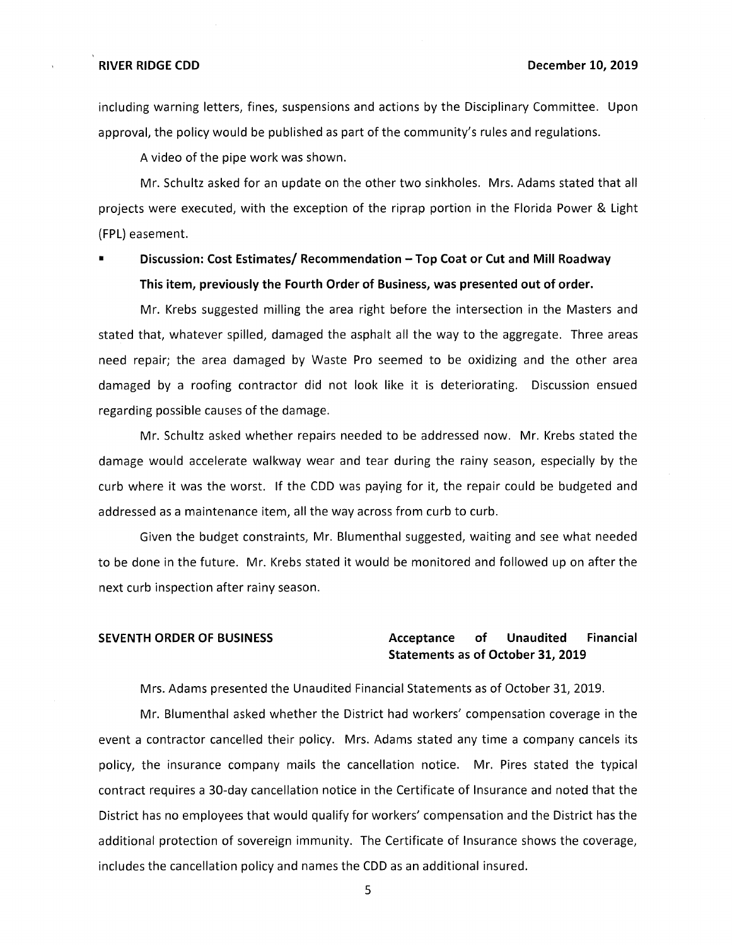including warning letters, fines, suspensions and actions by the Disciplinary Committee. Upon approval, the policy would be published as part of the community's rules and regulations.

A video of the pipe work was shown.

Mr. Schultz asked for an update on the other two sinkholes. Mrs. Adams stated that all projects were executed, with the exception of the riprap portion in the Florida Power & Light (FPL) easement.

■ **Discussion: Cost Estimates/ Recommendation - Top Coat or Cut and Mill Roadway This item, previously the Fourth Order of Business, was presented out of order.** 

Mr. Krebs suggested milling the area right before the intersection in the Masters and stated that, whatever spilled, damaged the asphalt all the way to the aggregate. Three areas need repair; the area damaged by Waste Pro seemed to be oxidizing and the other area damaged by a roofing contractor did not look like it is deteriorating. Discussion ensued regarding possible causes of the damage.

Mr. Schultz asked whether repairs needed to be addressed now. Mr. Krebs stated the damage would accelerate walkway wear and tear during the rainy season, especially by the curb where it was the worst. If the CDD was paying for it, the repair could be budgeted and addressed as a maintenance item, all the way across from curb to curb.

Given the budget constraints, Mr. Blumenthal suggested, waiting and see what needed to be done in the future. Mr. Krebs stated it would be monitored and followed up on after the next curb inspection after rainy season.

# **SEVENTH ORDER OF BUSINESS Acceptance of Unaudited Financial Statements as of October 31, 2019**

Mrs. Adams presented the Unaudited Financial Statements as of October 31, 2019.

Mr. Blumenthal asked whether the District had workers' compensation coverage in the event a contractor cancelled their policy. Mrs. Adams stated any time a company cancels its policy, the insurance company mails the cancellation notice. Mr. Pires stated the typical contract requires a 30-day cancellation notice in the Certificate of Insurance and noted that the District has no employees that would qualify for workers' compensation and the District has the additional protection of sovereign immunity. The Certificate of Insurance shows the coverage, includes the cancellation policy and names the CDD as an additional insured.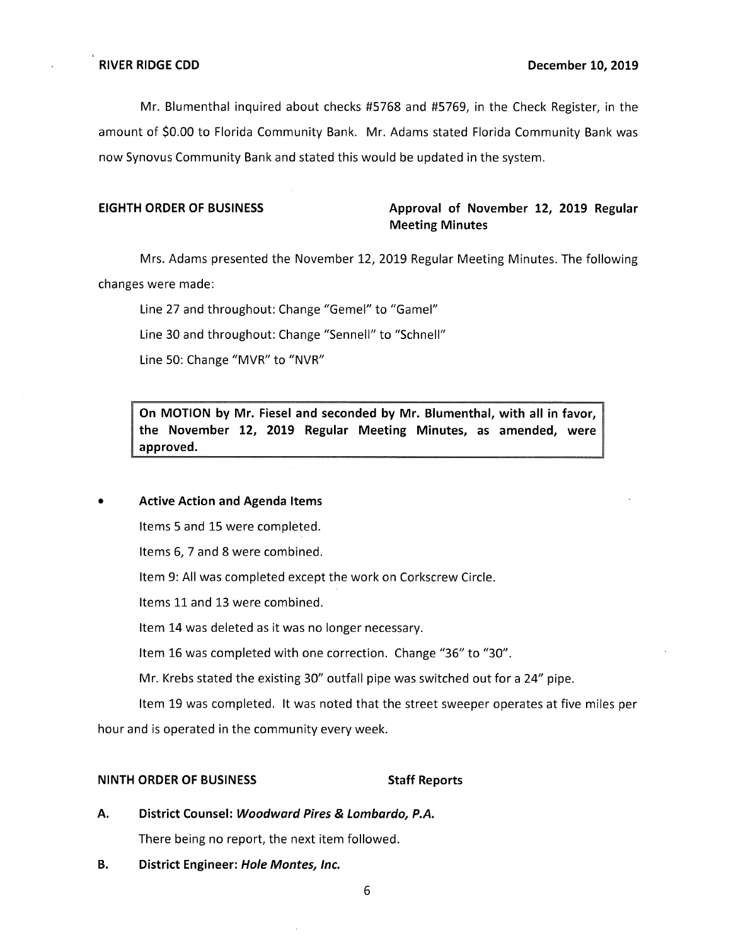Mr. Blumenthal inquired about checks #5768 and #5769, in the Check Register, in the amount of \$0.00 to Florida Community Bank. Mr. Adams stated Florida Community Bank was now Synovus Community Bank and stated this would be updated in the system.

# **EIGHTH ORDER OF BUSINESS Approval of November 12, 2019 Regular Meeting Minutes**

Mrs. Adams presented the November 12, 2019 Regular Meeting Minutes. The following changes were made:

Line 27 and throughout: Change "Gemel" to "Gamel"

Line 30 and throughout: Change "Sennell" to "Schnell"

Line 50: Change "MVR" to "NVR"

**On MOTION by Mr. Fiesel and seconded by Mr. Blumenthal, with all in favor, the November 12, 2019 Regular Meeting Minutes, as amended, were approved.** 

### • **Active Action and Agenda Items**

Items 5 and 15 were completed.

Items 6, 7 and 8 were combined.

Item 9: All was completed except the work on Corkscrew Circle.

Items 11 and 13 were combined.

Item 14 was deleted as it was no longer necessary.

Item 16 was completed with one correction. Change "36" to "30".

Mr. Krebs stated the existing 30" outfall pipe was switched out for a 24" pipe.

Item 19 was completed. It was noted that the street sweeper operates at five miles per hour and is operated in the community every week.

### **NINTH ORDER OF BUSINESS STATES STAFF Reports**

- **A. District Counsel: Woodward Pires & Lombardo, P.A.**  There being no report, the next item followed.
- **B. District Engineer: Hole Montes, Inc.**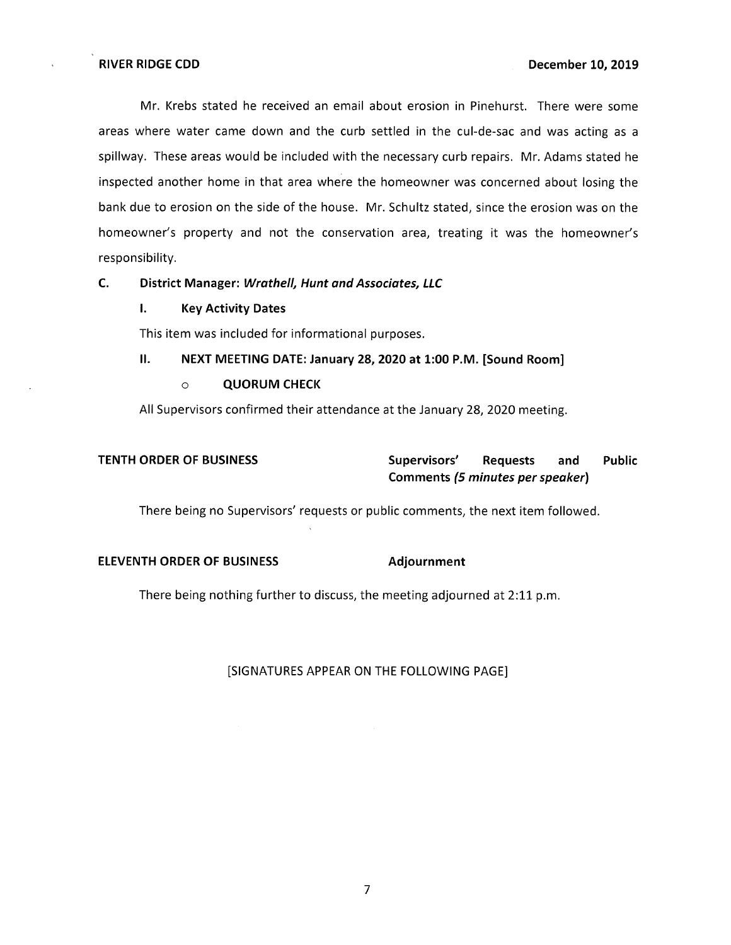Mr. Krebs stated he received an email about erosion in Pinehurst. There were some areas where water came down and the curb settled in the cul-de-sac and was acting as a spillway. These areas would be included with the necessary curb repairs. Mr. Adams stated he inspected another home in that area where the homeowner was concerned about losing the bank due to erosion on the side of the house. Mr. Schultz stated, since the erosion was on the homeowner's property and not the conservation area, treating it was the homeowner's responsibility.

# **C. District Manager: Wrathe/1, Hunt and Associates, LLC**

# **I. Key Activity Dates**

This item was included for informational purposes.

# II. **NEXT MEETING DATE: January 28, 2020 at 1:00 P.M. [Sound Room]**

### o **QUORUM CHECK**

All Supervisors confirmed their attendance at the January 28, 2020 meeting.

# **TENTH ORDER OF BUSINESS** Supervisors' Requests and Public **Comments (5 minutes per speaker)**

There being no Supervisors' requests or public comments, the next item followed.

# **ELEVENTH ORDER OF BUSINESS Adjournment**

There being nothing further to discuss, the meeting adjourned at 2:11 p.m.

# [SIGNATURES APPEAR ON THE FOLLOWING PAGE]